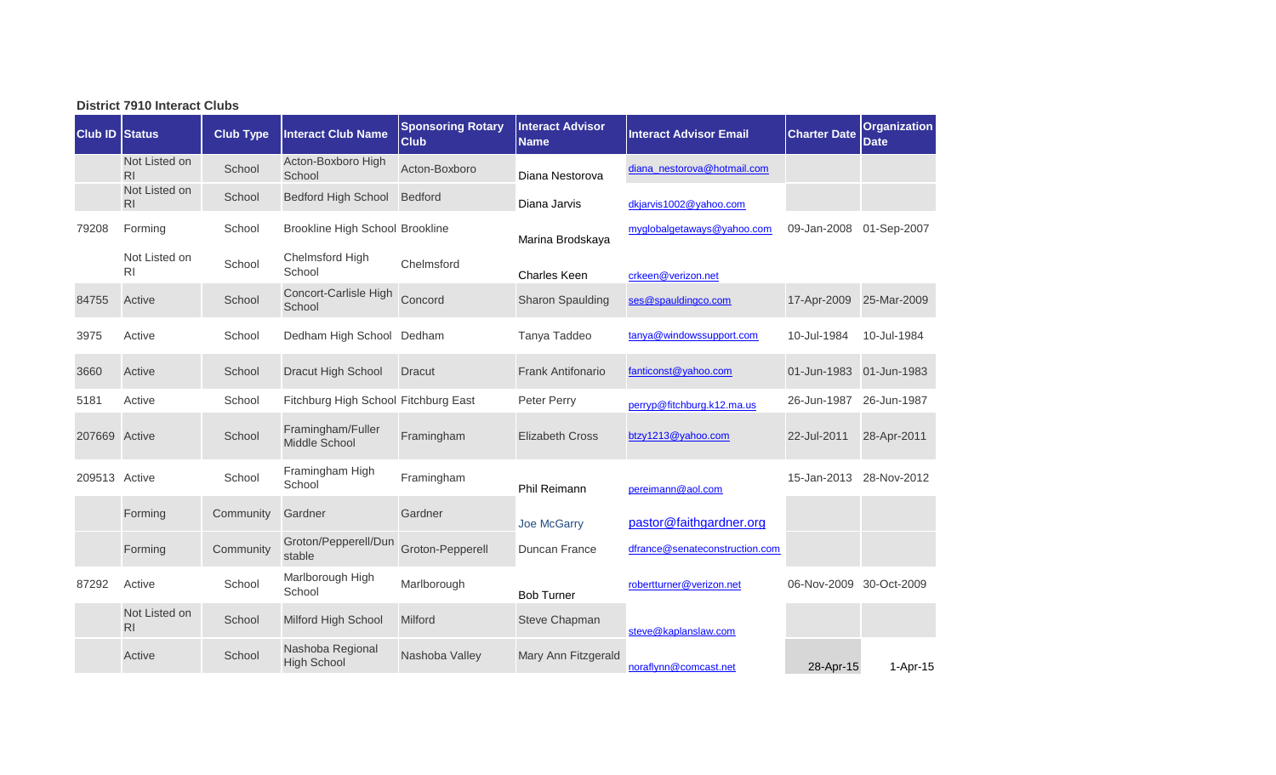| <b>District 7910 Interact Clubs</b> |                                 |                  |                                        |                                         |                                        |                                |                         |                                    |  |  |  |
|-------------------------------------|---------------------------------|------------------|----------------------------------------|-----------------------------------------|----------------------------------------|--------------------------------|-------------------------|------------------------------------|--|--|--|
| <b>Club ID Status</b>               |                                 | <b>Club Type</b> | <b>Interact Club Name</b>              | <b>Sponsoring Rotary</b><br><b>Club</b> | <b>Interact Advisor</b><br><b>Name</b> | <b>Interact Advisor Email</b>  | <b>Charter Date</b>     | <b>Organization</b><br><b>Date</b> |  |  |  |
|                                     | Not Listed on<br>R <sub>l</sub> | School           | Acton-Boxboro High<br>School           | Acton-Boxboro                           | Diana Nestorova                        | diana nestorova@hotmail.com    |                         |                                    |  |  |  |
|                                     | Not Listed on<br>R <sub>l</sub> | School           | <b>Bedford High School</b>             | <b>Bedford</b>                          | Diana Jarvis                           | dkjarvis1002@yahoo.com         |                         |                                    |  |  |  |
| 79208                               | Forming                         | School           | Brookline High School Brookline        |                                         | Marina Brodskaya                       | myglobalgetaways@yahoo.com     | 09-Jan-2008             | 01-Sep-2007                        |  |  |  |
|                                     | Not Listed on<br><b>RI</b>      | School           | Chelmsford High<br>School              | Chelmsford                              | <b>Charles Keen</b>                    | crkeen@verizon.net             |                         |                                    |  |  |  |
| 84755                               | Active                          | School           | Concort-Carlisle High<br>School        | Concord                                 | <b>Sharon Spaulding</b>                | ses@spauldingco.com            | 17-Apr-2009             | 25-Mar-2009                        |  |  |  |
| 3975                                | Active                          | School           | Dedham High School Dedham              |                                         | Tanya Taddeo                           | tanya@windowssupport.com       | 10-Jul-1984             | 10-Jul-1984                        |  |  |  |
| 3660                                | Active                          | School           | Dracut High School                     | Dracut                                  | <b>Frank Antifonario</b>               | fanticonst@yahoo.com           | 01-Jun-1983             | 01-Jun-1983                        |  |  |  |
| 5181                                | Active                          | School           | Fitchburg High School Fitchburg East   |                                         | Peter Perry                            | perryp@fitchburg.k12.ma.us     | 26-Jun-1987             | 26-Jun-1987                        |  |  |  |
| 207669 Active                       |                                 | School           | Framingham/Fuller<br>Middle School     | Framingham                              | <b>Elizabeth Cross</b>                 | btzy1213@yahoo.com             | 22-Jul-2011             | 28-Apr-2011                        |  |  |  |
| 209513 Active                       |                                 | School           | Framingham High<br>School              | Framingham                              | Phil Reimann                           | pereimann@aol.com              | 15-Jan-2013 28-Nov-2012 |                                    |  |  |  |
|                                     | Forming                         | Community        | Gardner                                | Gardner                                 | Joe McGarry                            | pastor@faithgardner.org        |                         |                                    |  |  |  |
|                                     | Forming                         | Community        | Groton/Pepperell/Dun<br>stable         | Groton-Pepperell                        | Duncan France                          | dfrance@senateconstruction.com |                         |                                    |  |  |  |
| 87292                               | Active                          | School           | Marlborough High<br>School             | Marlborough                             | <b>Bob Turner</b>                      | robertturner@verizon.net       | 06-Nov-2009             | 30-Oct-2009                        |  |  |  |
|                                     | Not Listed on<br>R <sub>l</sub> | School           | Milford High School                    | <b>Milford</b>                          | Steve Chapman                          | steve@kaplanslaw.com           |                         |                                    |  |  |  |
|                                     | Active                          | School           | Nashoba Regional<br><b>High School</b> | Nashoba Valley                          | Mary Ann Fitzgerald                    | noraflynn@comcast.net          | 28-Apr-15               | 1-Apr-15                           |  |  |  |